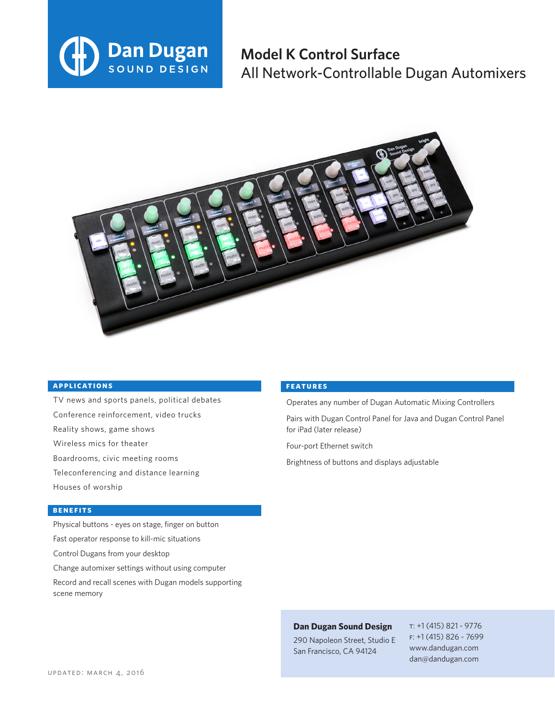

## **Model K Control Surface** All Network-Controllable Dugan Automixers



#### **applications**

- TV news and sports panels, political debates Conference reinforcement, video trucks Reality shows, game shows Wireless mics for theater Boardrooms, civic meeting rooms Teleconferencing and distance learning
- Houses of worship

#### **benefits**

- Physical buttons eyes on stage, finger on button Fast operator response to kill-mic situations Control Dugans from your desktop Change automixer settings without using computer
- Record and recall scenes with Dugan models supporting scene memory

#### **features**

Operates any number of Dugan Automatic Mixing Controllers

Pairs with Dugan Control Panel for Java and Dugan Control Panel for iPad (later release)

Four-port Ethernet switch

Brightness of buttons and displays adjustable

### **Dan Dugan Sound Design**

290 Napoleon Street, Studio E San Francisco, CA 94124

t: +1 (415) 821 - 9776 f: +1 (415) 826 - 7699 www.dandugan.com dan@dandugan.com